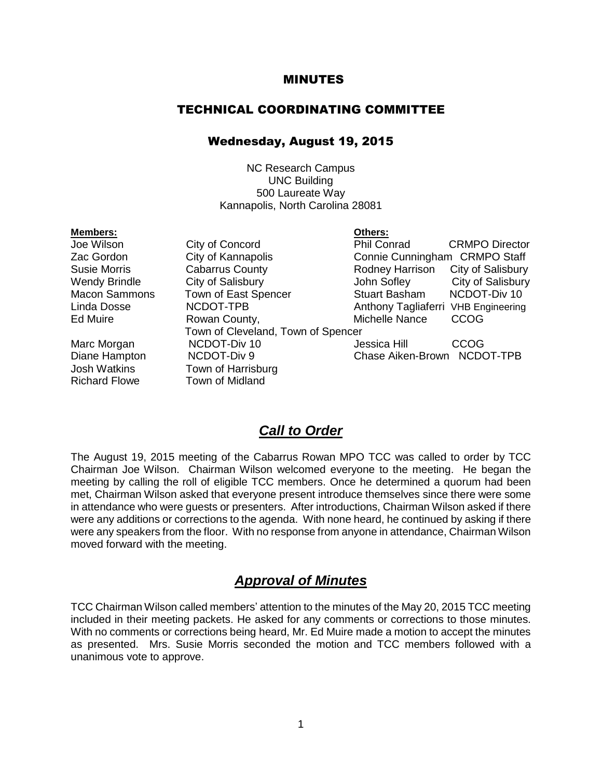#### MINUTES

#### TECHNICAL COORDINATING COMMITTEE

#### Wednesday, August 19, 2015

NC Research Campus UNC Building 500 Laureate Way Kannapolis, North Carolina 28081

| <b>Members:</b>      |                                    | Others:                             |                       |
|----------------------|------------------------------------|-------------------------------------|-----------------------|
| Joe Wilson           | City of Concord                    | <b>Phil Conrad</b>                  | <b>CRMPO Director</b> |
| Zac Gordon           | City of Kannapolis                 | Connie Cunningham CRMPO Staff       |                       |
| <b>Susie Morris</b>  | <b>Cabarrus County</b>             | Rodney Harrison                     | City of Salisbury     |
| <b>Wendy Brindle</b> | City of Salisbury                  | John Sofley                         | City of Salisbury     |
| <b>Macon Sammons</b> | Town of East Spencer               | <b>Stuart Basham</b>                | NCDOT-Div 10          |
| Linda Dosse          | NCDOT-TPB                          | Anthony Tagliaferri VHB Engineering |                       |
| Ed Muire             | Rowan County,                      | Michelle Nance                      | <b>CCOG</b>           |
|                      | Town of Cleveland, Town of Spencer |                                     |                       |
| Marc Morgan          | NCDOT-Div 10                       | Jessica Hill                        | <b>CCOG</b>           |
| Diane Hampton        | NCDOT-Div 9                        | Chase Aiken-Brown NCDOT-TPB         |                       |
| <b>Josh Watkins</b>  | Town of Harrisburg                 |                                     |                       |
| <b>Richard Flowe</b> | Town of Midland                    |                                     |                       |
|                      |                                    |                                     |                       |

#### *Call to Order*

The August 19, 2015 meeting of the Cabarrus Rowan MPO TCC was called to order by TCC Chairman Joe Wilson. Chairman Wilson welcomed everyone to the meeting. He began the meeting by calling the roll of eligible TCC members. Once he determined a quorum had been met, Chairman Wilson asked that everyone present introduce themselves since there were some in attendance who were guests or presenters. After introductions, Chairman Wilson asked if there were any additions or corrections to the agenda. With none heard, he continued by asking if there were any speakers from the floor. With no response from anyone in attendance, Chairman Wilson moved forward with the meeting.

#### *Approval of Minutes*

TCC Chairman Wilson called members' attention to the minutes of the May 20, 2015 TCC meeting included in their meeting packets. He asked for any comments or corrections to those minutes. With no comments or corrections being heard, Mr. Ed Muire made a motion to accept the minutes as presented. Mrs. Susie Morris seconded the motion and TCC members followed with a unanimous vote to approve.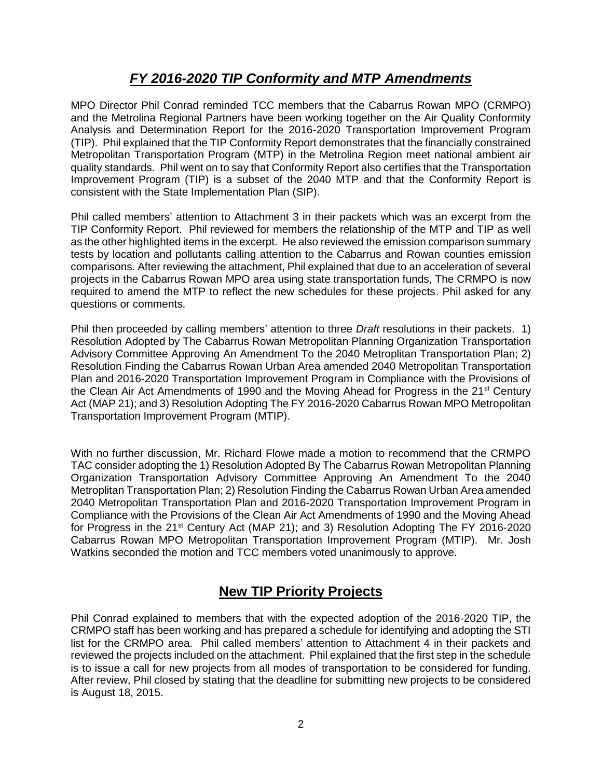# *FY 2016-2020 TIP Conformity and MTP Amendments*

MPO Director Phil Conrad reminded TCC members that the Cabarrus Rowan MPO (CRMPO) and the Metrolina Regional Partners have been working together on the Air Quality Conformity Analysis and Determination Report for the 2016-2020 Transportation Improvement Program (TIP). Phil explained that the TIP Conformity Report demonstrates that the financially constrained Metropolitan Transportation Program (MTP) in the Metrolina Region meet national ambient air quality standards. Phil went on to say that Conformity Report also certifies that the Transportation Improvement Program (TIP) is a subset of the 2040 MTP and that the Conformity Report is consistent with the State Implementation Plan (SIP).

Phil called members' attention to Attachment 3 in their packets which was an excerpt from the TIP Conformity Report. Phil reviewed for members the relationship of the MTP and TIP as well as the other highlighted items in the excerpt. He also reviewed the emission comparison summary tests by location and pollutants calling attention to the Cabarrus and Rowan counties emission comparisons. After reviewing the attachment, Phil explained that due to an acceleration of several projects in the Cabarrus Rowan MPO area using state transportation funds, The CRMPO is now required to amend the MTP to reflect the new schedules for these projects. Phil asked for any questions or comments.

Phil then proceeded by calling members' attention to three *Draft* resolutions in their packets. 1) Resolution Adopted by The Cabarrus Rowan Metropolitan Planning Organization Transportation Advisory Committee Approving An Amendment To the 2040 Metroplitan Transportation Plan; 2) Resolution Finding the Cabarrus Rowan Urban Area amended 2040 Metropolitan Transportation Plan and 2016-2020 Transportation Improvement Program in Compliance with the Provisions of the Clean Air Act Amendments of 1990 and the Moving Ahead for Progress in the 21<sup>st</sup> Century Act (MAP 21); and 3) Resolution Adopting The FY 2016-2020 Cabarrus Rowan MPO Metropolitan Transportation Improvement Program (MTIP).

With no further discussion, Mr. Richard Flowe made a motion to recommend that the CRMPO TAC consider adopting the 1) Resolution Adopted By The Cabarrus Rowan Metropolitan Planning Organization Transportation Advisory Committee Approving An Amendment To the 2040 Metroplitan Transportation Plan; 2) Resolution Finding the Cabarrus Rowan Urban Area amended 2040 Metropolitan Transportation Plan and 2016-2020 Transportation Improvement Program in Compliance with the Provisions of the Clean Air Act Amendments of 1990 and the Moving Ahead for Progress in the 21<sup>st</sup> Century Act (MAP 21); and 3) Resolution Adopting The FY 2016-2020 Cabarrus Rowan MPO Metropolitan Transportation Improvement Program (MTIP). Mr. Josh Watkins seconded the motion and TCC members voted unanimously to approve.

# **New TIP Priority Projects**

Phil Conrad explained to members that with the expected adoption of the 2016-2020 TIP, the CRMPO staff has been working and has prepared a schedule for identifying and adopting the STI list for the CRMPO area. Phil called members' attention to Attachment 4 in their packets and reviewed the projects included on the attachment. Phil explained that the first step in the schedule is to issue a call for new projects from all modes of transportation to be considered for funding. After review, Phil closed by stating that the deadline for submitting new projects to be considered is August 18, 2015.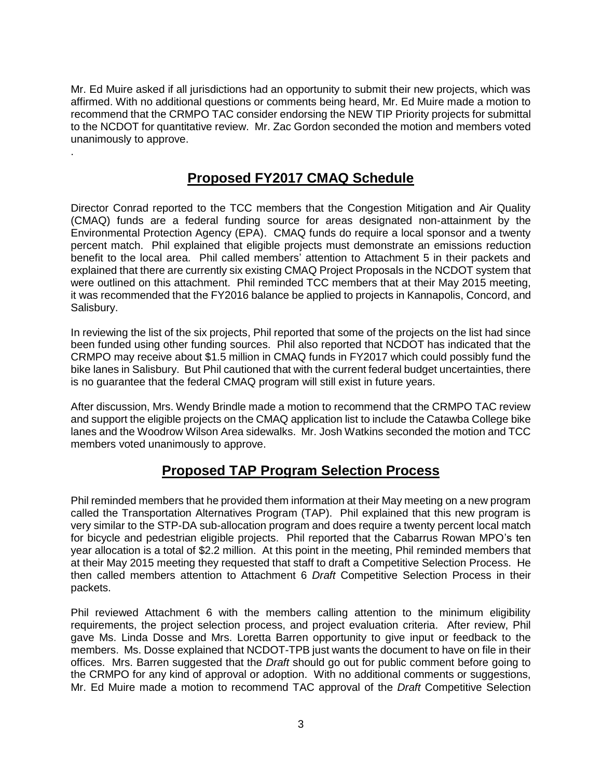Mr. Ed Muire asked if all jurisdictions had an opportunity to submit their new projects, which was affirmed. With no additional questions or comments being heard, Mr. Ed Muire made a motion to recommend that the CRMPO TAC consider endorsing the NEW TIP Priority projects for submittal to the NCDOT for quantitative review. Mr. Zac Gordon seconded the motion and members voted unanimously to approve.

## **Proposed FY2017 CMAQ Schedule**

.

Director Conrad reported to the TCC members that the Congestion Mitigation and Air Quality (CMAQ) funds are a federal funding source for areas designated non-attainment by the Environmental Protection Agency (EPA). CMAQ funds do require a local sponsor and a twenty percent match. Phil explained that eligible projects must demonstrate an emissions reduction benefit to the local area. Phil called members' attention to Attachment 5 in their packets and explained that there are currently six existing CMAQ Project Proposals in the NCDOT system that were outlined on this attachment. Phil reminded TCC members that at their May 2015 meeting, it was recommended that the FY2016 balance be applied to projects in Kannapolis, Concord, and Salisbury.

In reviewing the list of the six projects, Phil reported that some of the projects on the list had since been funded using other funding sources. Phil also reported that NCDOT has indicated that the CRMPO may receive about \$1.5 million in CMAQ funds in FY2017 which could possibly fund the bike lanes in Salisbury. But Phil cautioned that with the current federal budget uncertainties, there is no guarantee that the federal CMAQ program will still exist in future years.

After discussion, Mrs. Wendy Brindle made a motion to recommend that the CRMPO TAC review and support the eligible projects on the CMAQ application list to include the Catawba College bike lanes and the Woodrow Wilson Area sidewalks. Mr. Josh Watkins seconded the motion and TCC members voted unanimously to approve.

#### **Proposed TAP Program Selection Process**

Phil reminded members that he provided them information at their May meeting on a new program called the Transportation Alternatives Program (TAP). Phil explained that this new program is very similar to the STP-DA sub-allocation program and does require a twenty percent local match for bicycle and pedestrian eligible projects. Phil reported that the Cabarrus Rowan MPO's ten year allocation is a total of \$2.2 million. At this point in the meeting, Phil reminded members that at their May 2015 meeting they requested that staff to draft a Competitive Selection Process. He then called members attention to Attachment 6 *Draft* Competitive Selection Process in their packets.

Phil reviewed Attachment 6 with the members calling attention to the minimum eligibility requirements, the project selection process, and project evaluation criteria. After review, Phil gave Ms. Linda Dosse and Mrs. Loretta Barren opportunity to give input or feedback to the members. Ms. Dosse explained that NCDOT-TPB just wants the document to have on file in their offices. Mrs. Barren suggested that the *Draft* should go out for public comment before going to the CRMPO for any kind of approval or adoption. With no additional comments or suggestions, Mr. Ed Muire made a motion to recommend TAC approval of the *Draft* Competitive Selection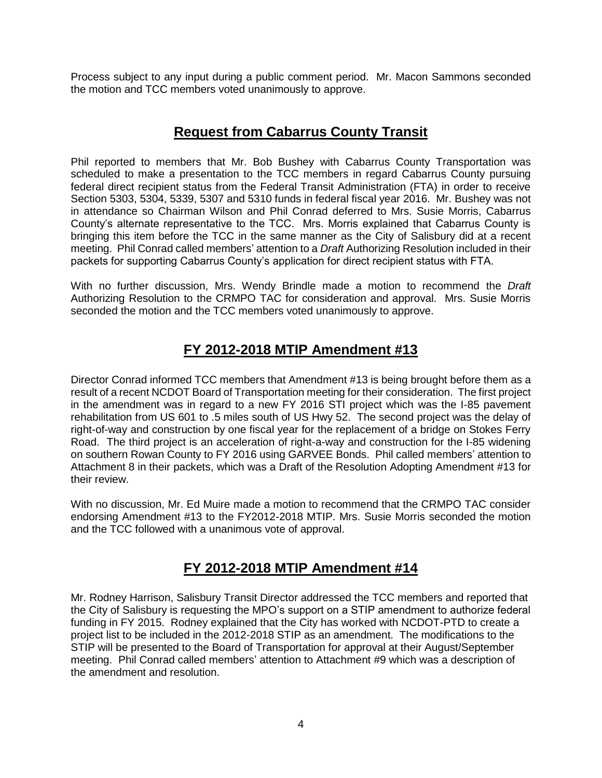Process subject to any input during a public comment period. Mr. Macon Sammons seconded the motion and TCC members voted unanimously to approve.

### **Request from Cabarrus County Transit**

Phil reported to members that Mr. Bob Bushey with Cabarrus County Transportation was scheduled to make a presentation to the TCC members in regard Cabarrus County pursuing federal direct recipient status from the Federal Transit Administration (FTA) in order to receive Section 5303, 5304, 5339, 5307 and 5310 funds in federal fiscal year 2016. Mr. Bushey was not in attendance so Chairman Wilson and Phil Conrad deferred to Mrs. Susie Morris, Cabarrus County's alternate representative to the TCC. Mrs. Morris explained that Cabarrus County is bringing this item before the TCC in the same manner as the City of Salisbury did at a recent meeting. Phil Conrad called members' attention to a *Draft* Authorizing Resolution included in their packets for supporting Cabarrus County's application for direct recipient status with FTA.

With no further discussion, Mrs. Wendy Brindle made a motion to recommend the *Draft* Authorizing Resolution to the CRMPO TAC for consideration and approval. Mrs. Susie Morris seconded the motion and the TCC members voted unanimously to approve.

# **FY 2012-2018 MTIP Amendment #13**

Director Conrad informed TCC members that Amendment #13 is being brought before them as a result of a recent NCDOT Board of Transportation meeting for their consideration. The first project in the amendment was in regard to a new FY 2016 STI project which was the I-85 pavement rehabilitation from US 601 to .5 miles south of US Hwy 52. The second project was the delay of right-of-way and construction by one fiscal year for the replacement of a bridge on Stokes Ferry Road. The third project is an acceleration of right-a-way and construction for the I-85 widening on southern Rowan County to FY 2016 using GARVEE Bonds. Phil called members' attention to Attachment 8 in their packets, which was a Draft of the Resolution Adopting Amendment #13 for their review.

With no discussion, Mr. Ed Muire made a motion to recommend that the CRMPO TAC consider endorsing Amendment #13 to the FY2012-2018 MTIP. Mrs. Susie Morris seconded the motion and the TCC followed with a unanimous vote of approval.

# **FY 2012-2018 MTIP Amendment #14**

Mr. Rodney Harrison, Salisbury Transit Director addressed the TCC members and reported that the City of Salisbury is requesting the MPO's support on a STIP amendment to authorize federal funding in FY 2015. Rodney explained that the City has worked with NCDOT-PTD to create a project list to be included in the 2012-2018 STIP as an amendment. The modifications to the STIP will be presented to the Board of Transportation for approval at their August/September meeting. Phil Conrad called members' attention to Attachment #9 which was a description of the amendment and resolution.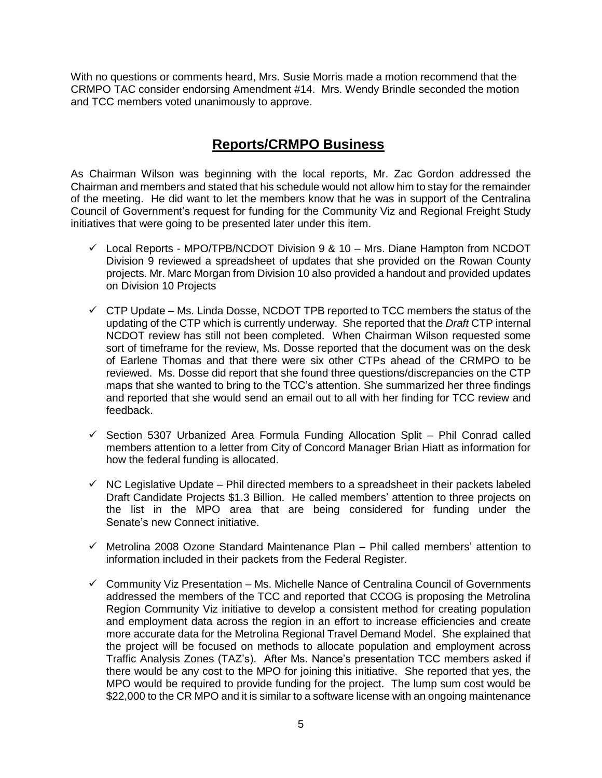With no questions or comments heard, Mrs. Susie Morris made a motion recommend that the CRMPO TAC consider endorsing Amendment #14. Mrs. Wendy Brindle seconded the motion and TCC members voted unanimously to approve.

#### **Reports/CRMPO Business**

As Chairman Wilson was beginning with the local reports, Mr. Zac Gordon addressed the Chairman and members and stated that his schedule would not allow him to stay for the remainder of the meeting. He did want to let the members know that he was in support of the Centralina Council of Government's request for funding for the Community Viz and Regional Freight Study initiatives that were going to be presented later under this item.

- $\checkmark$  Local Reports MPO/TPB/NCDOT Division 9 & 10 Mrs. Diane Hampton from NCDOT Division 9 reviewed a spreadsheet of updates that she provided on the Rowan County projects. Mr. Marc Morgan from Division 10 also provided a handout and provided updates on Division 10 Projects
- $\checkmark$  CTP Update Ms. Linda Dosse, NCDOT TPB reported to TCC members the status of the updating of the CTP which is currently underway. She reported that the *Draft* CTP internal NCDOT review has still not been completed. When Chairman Wilson requested some sort of timeframe for the review, Ms. Dosse reported that the document was on the desk of Earlene Thomas and that there were six other CTPs ahead of the CRMPO to be reviewed. Ms. Dosse did report that she found three questions/discrepancies on the CTP maps that she wanted to bring to the TCC's attention. She summarized her three findings and reported that she would send an email out to all with her finding for TCC review and feedback.
- $\checkmark$  Section 5307 Urbanized Area Formula Funding Allocation Split Phil Conrad called members attention to a letter from City of Concord Manager Brian Hiatt as information for how the federal funding is allocated.
- $\checkmark$  NC Legislative Update Phil directed members to a spreadsheet in their packets labeled Draft Candidate Projects \$1.3 Billion. He called members' attention to three projects on the list in the MPO area that are being considered for funding under the Senate's new Connect initiative.
- $\checkmark$  Metrolina 2008 Ozone Standard Maintenance Plan Phil called members' attention to information included in their packets from the Federal Register.
- $\checkmark$  Community Viz Presentation Ms. Michelle Nance of Centralina Council of Governments addressed the members of the TCC and reported that CCOG is proposing the Metrolina Region Community Viz initiative to develop a consistent method for creating population and employment data across the region in an effort to increase efficiencies and create more accurate data for the Metrolina Regional Travel Demand Model. She explained that the project will be focused on methods to allocate population and employment across Traffic Analysis Zones (TAZ's). After Ms. Nance's presentation TCC members asked if there would be any cost to the MPO for joining this initiative. She reported that yes, the MPO would be required to provide funding for the project. The lump sum cost would be \$22,000 to the CR MPO and it is similar to a software license with an ongoing maintenance